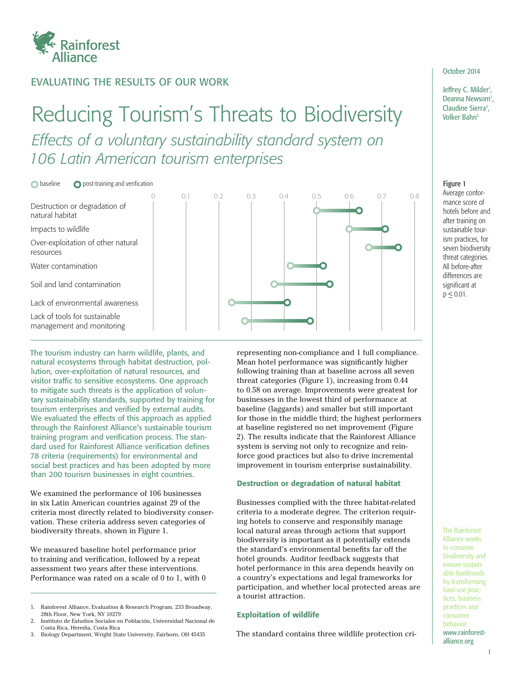

# EVALUATING THE RESULTS OF OUR WORK

# Reducing Tourism's Threats to Biodiversity Including Sier *Effects of a voluntary sustainability standard system on 106 Latin American tourism enterprises*

 $\bigcirc$  baseline  $\bigcirc$  post-training and verification



The tourism industry can harm wildlife, plants, and natural ecosystems through habitat destruction, pollution, over-exploitation of natural resources, and visitor traffic to sensitive ecosystems. One approach to mitigate such threats is the application of voluntary sustainability standards, supported by training for tourism enterprises and verified by external audits. We evaluated the effects of this approach as applied through the Rainforest Alliance's sustainable tourism training program and verification process. The standard used for Rainforest Alliance verification defines 78 criteria (requirements) for environmental and social best practices and has been adopted by more than 200 tourism businesses in eight countries.

We examined the performance of 106 businesses in six Latin American countries against 29 of the criteria most directly related to biodiversity conservation. These criteria address seven categories of biodiversity threats, shown in Figure 1.

We measured baseline hotel performance prior to training and verification, followed by a repeat assessment two years after these interventions. Performance was rated on a scale of 0 to 1, with 0

3. Biology Department, Wright State University, Fairborn, OH 45435

representing non-compliance and 1 full compliance. Mean hotel performance was significantly higher following training than at baseline across all seven threat categories (Figure 1), increasing from 0.44 to 0.58 on average. Improvements were greatest for businesses in the lowest third of performance at baseline (laggards) and smaller but still important for those in the middle third; the highest performers at baseline registered no net improvement (Figure 2). The results indicate that the Rainforest Alliance system is serving not only to recognize and reinforce good practices but also to drive incremental improvement in tourism enterprise sustainability.

#### Destruction or degradation of natural habitat

Businesses complied with the three habitat-related criteria to a moderate degree. The criterion requiring hotels to conserve and responsibly manage local natural areas through actions that support biodiversity is important as it potentially extends the standard's environmental benefits far off the hotel grounds. Auditor feedback suggests that hotel performance in this area depends heavily on a country's expectations and legal frameworks for participation, and whether local protected areas are a tourist attraction.

#### Exploitation of wildlife

The standard contains three wildlife protection cri-

### October 2014

Jeffrey C. Milder<sup>1</sup>, Deanna Newsom<sup>1</sup>, Claudine Sierra<sup>2</sup>,

#### Figure 1

Average conformance score of hotels before and after training on sustainable tourism practices, for seven biodiversity threat categories. All before-after differences are significant at  $p \le 0.01$ .

The Rainforest Alliance works to conserve biodiversity and ensure sustainable livelihoods by transforming land-use practices, business practices and consumer behavior. www.rainforestalliance.org

Rainforest Alliance, Evaluation & Research Program, 233 Broadway, 28th Floor, New York, NY 10279

<sup>2.</sup> Instituto de Estudios Sociales en Población, Universidad Nacional de Costa Rica, Heredia, Costa Rica